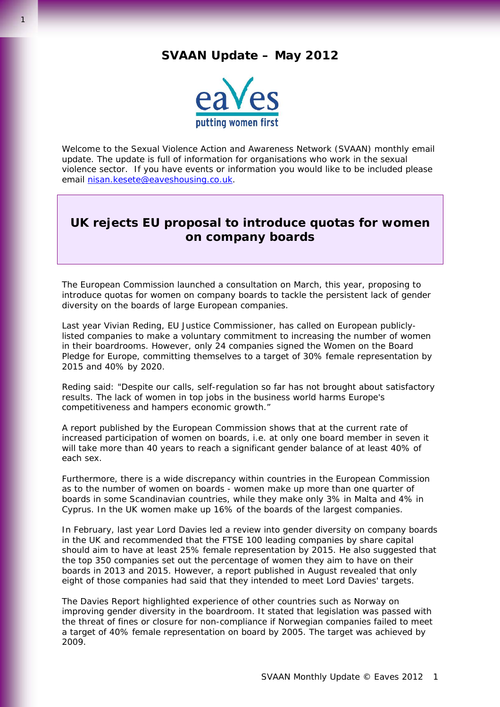## **SVAAN Update – May 2012**



Welcome to the Sexual Violence Action and Awareness Network (SVAAN) monthly email update. The update is full of information for organisations who work in the sexual violence sector. If you have events or information you would like to be included please email [nisan.kesete@eaveshousing.co.uk.](mailto:nisan.kesete@eaveshousing.co.uk)

## **UK rejects EU proposal to introduce quotas for women on company boards**

The European Commission launched a consultation on March, this year, proposing to introduce quotas for women on company boards to tackle the persistent lack of gender diversity on the boards of large European companies.

Last year Vivian Reding, EU Justice Commissioner, has called on European publiclylisted companies to make a voluntary commitment to increasing the number of women in their boardrooms. However, only 24 companies signed the Women on the Board Pledge for Europe, committing themselves to a target of 30% female representation by 2015 and 40% by 2020.

Reding said: "Despite our calls, self-regulation so far has not brought about satisfactory results. The lack of women in top jobs in the business world harms Europe's competitiveness and hampers economic growth."

A report published by the European Commission shows that at the current rate of increased participation of women on boards, i.e. at only one board member in seven it will take more than 40 years to reach a significant gender balance of at least 40% of each sex.

Furthermore, there is a wide discrepancy within countries in the European Commission as to the number of women on boards - women make up more than one quarter of boards in some Scandinavian countries, while they make only 3% in Malta and 4% in Cyprus. In the UK women make up 16% of the boards of the largest companies.

In February, last year Lord Davies led a review into gender diversity on company boards in the UK and recommended that the FTSE 100 leading companies by share capital should aim to have at least 25% female representation by 2015. He also suggested that the top 350 companies set out the percentage of women they aim to have on their boards in 2013 and 2015. However, a report published in August revealed that only eight of those companies had said that they intended to meet Lord Davies' targets.

The Davies Report highlighted experience of other countries such as Norway on improving gender diversity in the boardroom. It stated that legislation was passed with the threat of fines or closure for non-compliance if Norwegian companies failed to meet a target of 40% female representation on board by 2005. The target was achieved by 2009.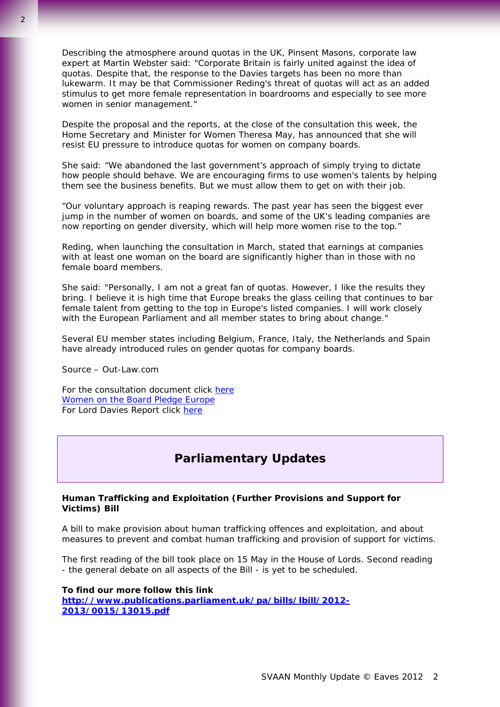Describing the atmosphere around quotas in the UK, Pinsent Masons, corporate law expert at Martin Webster said: "Corporate Britain is fairly united against the idea of quotas. Despite that, the response to the Davies targets has been no more than lukewarm. It may be that Commissioner Reding's threat of quotas will act as an added stimulus to get more female representation in boardrooms and especially to see more women in senior management."

Despite the proposal and the reports, at the close of the consultation this week, the Home Secretary and Minister for Women Theresa May, has announced that she will resist EU pressure to introduce quotas for women on company boards.

She said: "We abandoned the last government's approach of simply trying to dictate how people should behave. We are encouraging firms to use women's talents by helping them see the business benefits. But we must allow them to get on with their job.

"Our voluntary approach is reaping rewards. The past year has seen the biggest ever jump in the number of women on boards, and some of the UK's leading companies are now reporting on gender diversity, which will help more women rise to the top."

Reding, when launching the consultation in March, stated that earnings at companies with at least one woman on the board are significantly higher than in those with no female board members.

She said: "Personally, I am not a great fan of quotas. However, I like the results they bring. I believe it is high time that Europe breaks the glass ceiling that continues to bar female talent from getting to the top in Europe's listed companies. I will work closely with the European Parliament and all member states to bring about change."

Several EU member states including Belgium, France, Italy, the Netherlands and Spain have already introduced rules on gender quotas for company boards.

Source – Out-Law.com

For the consultation document click [here](http://ec.europa.eu/justice/newsroom/gender-equality/opinion/120528_en.htm) [Women on the Board Pledge Europe](http://ec.europa.eu/commission_2010-2014/reding/womenpledge/index_en.htm)  For Lord Davies Report click here

## **Parliamentary Updates**

## **Human Trafficking and Exploitation (Further Provisions and Support for Victims) Bill**

A bill to make provision about human trafficking offences and exploitation, and about measures to prevent and combat human trafficking and provision of support for victims.

The first reading of the bill took place on 15 May in the House of Lords. Second reading - the general debate on all aspects of the Bill - is yet to be scheduled.

**To find our more follow this link [http://www.publications.parliament.uk/pa/bills/lbill/2012-](http://www.publications.parliament.uk/pa/bills/lbill/2012-2013/0015/13015.pdf) [2013/0015/13015.pdf](http://www.publications.parliament.uk/pa/bills/lbill/2012-2013/0015/13015.pdf)**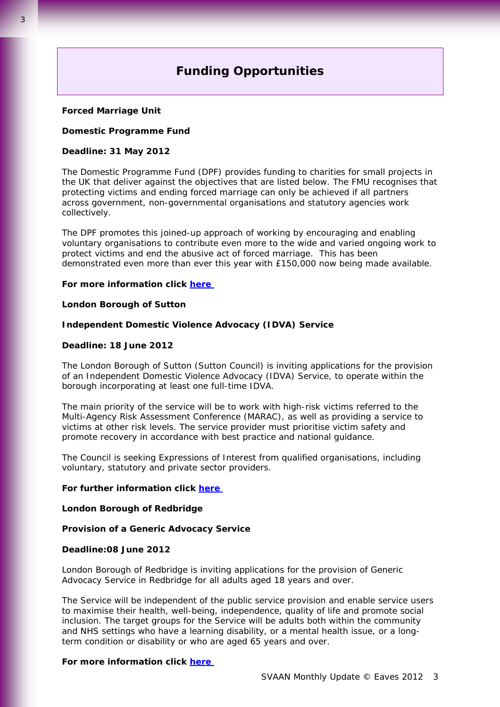# **Funding Opportunities**

## **Forced Marriage Unit**

#### **Domestic Programme Fund**

## **Deadline: 31 May 2012**

The Domestic Programme Fund (DPF) provides funding to charities for small projects in the UK that deliver against the objectives that are listed below. The FMU recognises that protecting victims and ending forced marriage can only be achieved if all partners across government, non-governmental organisations and statutory agencies work collectively.

The DPF promotes this joined-up approach of working by encouraging and enabling voluntary organisations to contribute even more to the wide and varied ongoing work to protect victims and end the abusive act of forced marriage. This has been demonstrated even more than ever this year with £150,000 now being made available.

#### **For more information click [here](http://www.fco.gov.uk/en/travel-and-living-abroad/when-things-go-wrong/forced-marriage/domestic-prog-fund/)**

## **London Borough of Sutton**

#### **Independent Domestic Violence Advocacy (IDVA) Service**

### **Deadline: 18 June 2012**

The London Borough of Sutton (Sutton Council) is inviting applications for the provision of an Independent Domestic Violence Advocacy (IDVA) Service, to operate within the borough incorporating at least one full-time IDVA.

The main priority of the service will be to work with high-risk victims referred to the Multi-Agency Risk Assessment Conference (MARAC), as well as providing a service to victims at other risk levels. The service provider must prioritise victim safety and promote recovery in accordance with best practice and national guidance.

The Council is seeking Expressions of Interest from qualified organisations, including voluntary, statutory and private sector providers.

#### **For further information click [here](https://www.londontenders.org/procontract/supplier.nsf/frm_opportunity?openForm&opp_id=OPP-HIS-DNWC-8UDKP4&search_id=PLAN-SCHDNWC-8UEFAP&contract_id=CONTRACT-DNWC-8UDCLP&org_id=ORG-DNWB-7ZPFLX&from=)**

#### **London Borough of Redbridge**

#### **Provision of a Generic Advocacy Service**

## **Deadline:08 June 2012**

London Borough of Redbridge is inviting applications for the provision of Generic Advocacy Service in Redbridge for all adults aged 18 years and over.

The Service will be independent of the public service provision and enable service users to maximise their health, well-being, independence, quality of life and promote social inclusion. The target groups for the Service will be adults both within the community and NHS settings who have a learning disability, or a mental health issue, or a longterm condition or disability or who are aged 65 years and over.

#### **For more information click [here](https://www.londontenders.org/procontract/supplier.nsf/frm_opportunity?openForm&opp_id=OPP-HIS-DNWC-8TYBBE&search_id=PLAN-SCHDNWC-8U4B6P&contract_id=CONTRACT-DNWC-8TXJF6&org_id=ORG-DNWB-7PMLWR&from=)**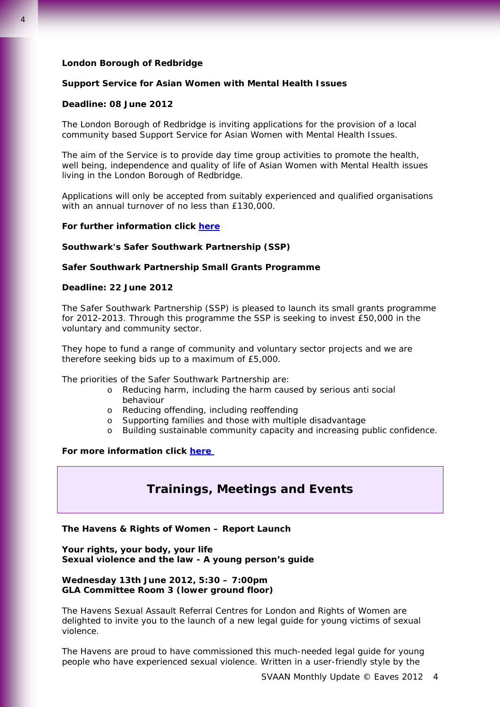## **London Borough of Redbridge**

## **Support Service for Asian Women with Mental Health Issues**

#### **Deadline: 08 June 2012**

The London Borough of Redbridge is inviting applications for the provision of a local community based Support Service for Asian Women with Mental Health Issues.

The aim of the Service is to provide day time group activities to promote the health, well being, independence and quality of life of Asian Women with Mental Health issues living in the London Borough of Redbridge.

Applications will only be accepted from suitably experienced and qualified organisations with an annual turnover of no less than £130,000.

## **For further information click [here](https://www.londontenders.org/procontract/supplier.nsf/frm_opportunity?openForm&opp_id=OPP-HIS-DNWC-8TYCVR&search_id=PLAN-SCHDNWC-8U4B6P&contract_id=CONTRACT-DNWC-8TYCCP&org_id=ORG-DNWB-7PMLWR&from=)**

#### **Southwark's Safer Southwark Partnership (SSP)**

## **Safer Southwark Partnership Small Grants Programme**

#### **Deadline: 22 June 2012**

The Safer Southwark Partnership (SSP) is pleased to launch its small grants programme for 2012-2013. Through this programme the SSP is seeking to invest £50,000 in the voluntary and community sector.

They hope to fund a range of community and voluntary sector projects and we are therefore seeking bids up to a maximum of £5,000.

The priorities of the Safer Southwark Partnership are:

- o Reducing harm, including the harm caused by serious anti social behaviour
- o Reducing offending, including reoffending
- o Supporting families and those with multiple disadvantage
- o Building sustainable community capacity and increasing public confidence.

## **For more information click [here](http://casouthwark.org.uk/news/safer-southwark-partnership-small-grants-programme/)**

## **Trainings, Meetings and Events**

## **The Havens & Rights of Women – Report Launch**

**Your rights, your body, your life Sexual violence and the law - A young person's guide** 

**Wednesday 13th June 2012, 5:30 – 7:00pm GLA Committee Room 3 (lower ground floor)** 

The Havens Sexual Assault Referral Centres for London and Rights of Women are delighted to invite you to the launch of a new legal guide for young victims of sexual violence.

The Havens are proud to have commissioned this much-needed legal guide for young people who have experienced sexual violence. Written in a user-friendly style by the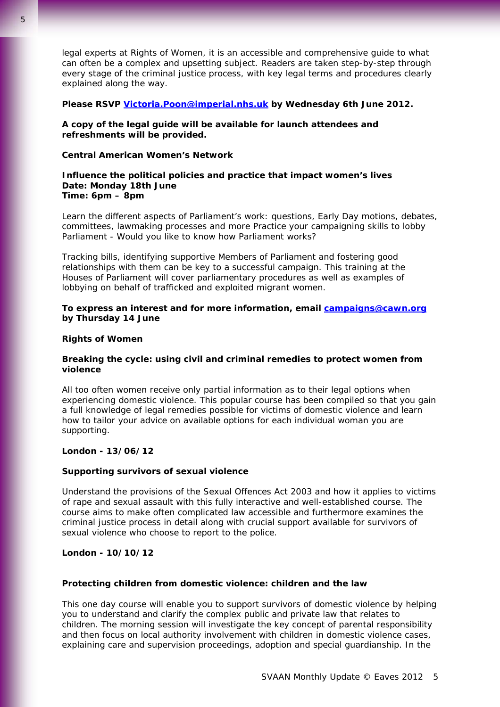legal experts at Rights of Women, it is an accessible and comprehensive guide to what can often be a complex and upsetting subject. Readers are taken step-by-step through every stage of the criminal justice process, with key legal terms and procedures clearly explained along the way.

## **Please RSVP [Victoria.Poon@imperial.nhs.uk](mailto:Victoria.Poon@imperial.nhs.uk) by Wednesday 6th June 2012.**

**A copy of the legal guide will be available for launch attendees and refreshments will be provided.**

## **Central American Women's Network**

## **Influence the political policies and practice that impact women's lives Date: Monday 18th June Time: 6pm – 8pm**

Learn the different aspects of Parliament's work: questions, Early Day motions, debates, committees, lawmaking processes and more Practice your campaigning skills to lobby Parliament - Would you like to know how Parliament works?

Tracking bills, identifying supportive Members of Parliament and fostering good relationships with them can be key to a successful campaign. This training at the Houses of Parliament will cover parliamentary procedures as well as examples of lobbying on behalf of trafficked and exploited migrant women.

## **To express an interest and for more information, email [campaigns@cawn.org](mailto:campaigns@cawn.org) by Thursday 14 June**

## **Rights of Women**

## **Breaking the cycle: using civil and criminal remedies to protect women from violence**

All too often women receive only partial information as to their legal options when experiencing domestic violence. This popular course has been compiled so that you gain a full knowledge of legal remedies possible for victims of domestic violence and learn how to tailor your advice on available options for each individual woman you are supporting.

## **London - 13/06/12**

## **Supporting survivors of sexual violence**

Understand the provisions of the Sexual Offences Act 2003 and how it applies to victims of rape and sexual assault with this fully interactive and well-established course. The course aims to make often complicated law accessible and furthermore examines the criminal justice process in detail along with crucial support available for survivors of sexual violence who choose to report to the police.

## **London - 10/10/12**

## **Protecting children from domestic violence: children and the law**

This one day course will enable you to support survivors of domestic violence by helping you to understand and clarify the complex public and private law that relates to children. The morning session will investigate the key concept of parental responsibility and then focus on local authority involvement with children in domestic violence cases, explaining care and supervision proceedings, adoption and special guardianship. In the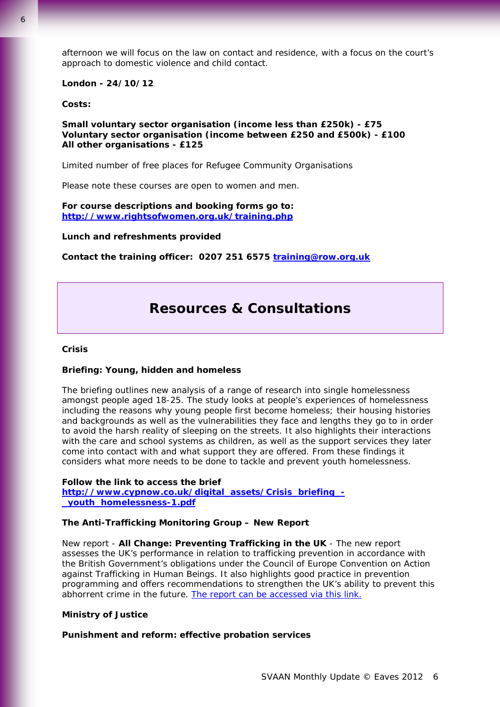afternoon we will focus on the law on contact and residence, with a focus on the court's approach to domestic violence and child contact.

## **London - 24/10/12**

**Costs:** 

**Small voluntary sector organisation (income less than £250k) - £75 Voluntary sector organisation (income between £250 and £500k) - £100 All other organisations - £125** 

Limited number of free places for Refugee Community Organisations

Please note these courses are open to women and men.

#### **For course descriptions and booking forms go to: <http://www.rightsofwomen.org.uk/training.php>**

**Lunch and refreshments provided** 

**Contact the training officer: 0207 251 6575 [training@row.org.uk](mailto:training@row.org.uk)**

# **Resources & Consultations**

#### **Crisis**

#### **Briefing: Young, hidden and homeless**

The briefing outlines new analysis of a range of research into single homelessness amongst people aged 18-25. The study looks at people's experiences of homelessness including the reasons why young people first become homeless; their housing histories and backgrounds as well as the vulnerabilities they face and lengths they go to in order to avoid the harsh reality of sleeping on the streets. It also highlights their interactions with the care and school systems as children, as well as the support services they later come into contact with and what support they are offered. From these findings it considers what more needs to be done to tackle and prevent youth homelessness.

#### **Follow the link to access the brief**

**[http://www.cypnow.co.uk/digital\\_assets/Crisis\\_briefing\\_-](http://www.cypnow.co.uk/digital_assets/Crisis_briefing_-_youth_homelessness-1.pdf) [\\_youth\\_homelessness-1.pdf](http://www.cypnow.co.uk/digital_assets/Crisis_briefing_-_youth_homelessness-1.pdf)**

## **The Anti-Trafficking Monitoring Group – New Report**

New report - *All Change: Preventing Trafficking in the UK -* The new report assesses the UK's performance in relation to trafficking prevention in accordance with the British Government's obligations under the Council of Europe Convention on Action against Trafficking in Human Beings. It also highlights good practice in prevention programming and offers recommendations to strengthen the UK's ability to prevent this abhorrent crime in the future. [The report can be accessed via this link.](http://www.antislavery.org/includes/documents/cm_docs/2012/a/1_atmg_all_change_prevention_smaller_2.pdf)

#### **Ministry of Justice**

#### **Punishment and reform: effective probation services**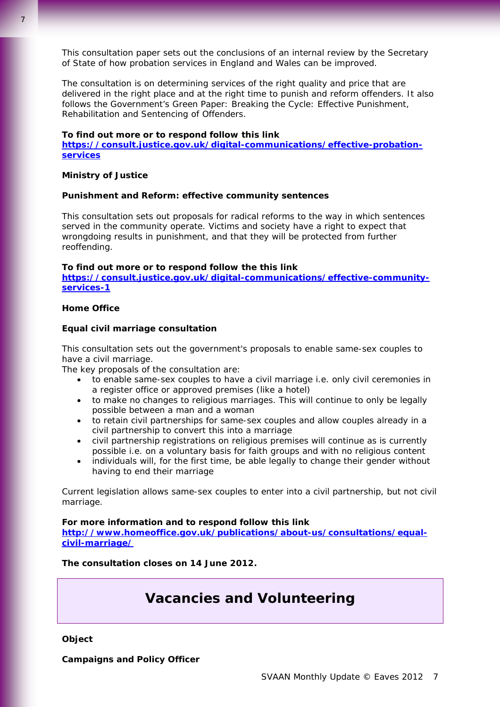This consultation paper sets out the conclusions of an internal review by the Secretary of State of how probation services in England and Wales can be improved.

The consultation is on determining services of the right quality and price that are delivered in the right place and at the right time to punish and reform offenders. It also follows the Government's Green Paper: Breaking the Cycle: Effective Punishment, Rehabilitation and Sentencing of Offenders.

#### **To find out more or to respond follow this link**

**[https://consult.justice.gov.uk/digital-communications/effective-probation](https://consult.justice.gov.uk/digital-communications/effective-probation-services)[services](https://consult.justice.gov.uk/digital-communications/effective-probation-services)**

## **Ministry of Justice**

#### **Punishment and Reform: effective community sentences**

This consultation sets out proposals for radical reforms to the way in which sentences served in the community operate. Victims and society have a right to expect that wrongdoing results in punishment, and that they will be protected from further reoffending.

#### **To find out more or to respond follow the this link**

**[https://consult.justice.gov.uk/digital-communications/effective-community](https://consult.justice.gov.uk/digital-communications/effective-community-services-1)[services-1](https://consult.justice.gov.uk/digital-communications/effective-community-services-1)**

## **Home Office**

## **Equal civil marriage consultation**

This consultation sets out the government's proposals to enable same-sex couples to have a civil marriage.

The key proposals of the consultation are:

- to enable same-sex couples to have a civil marriage i.e. only civil ceremonies in a register office or approved premises (like a hotel)
- to make no changes to religious marriages. This will continue to only be legally possible between a man and a woman
- to retain civil partnerships for same-sex couples and allow couples already in a civil partnership to convert this into a marriage
- civil partnership registrations on religious premises will continue as is currently possible i.e. on a voluntary basis for faith groups and with no religious content
- individuals will, for the first time, be able legally to change their gender without having to end their marriage

Current legislation allows same-sex couples to enter into a civil partnership, but not civil marriage.

**For more information and to respond follow this link [http://www.homeoffice.gov.uk/publications/about-us/consultations/equal](http://www.homeoffice.gov.uk/publications/about-us/consultations/equal-civil-marriage/)[civil-marriage/](http://www.homeoffice.gov.uk/publications/about-us/consultations/equal-civil-marriage/)**

**The consultation closes on 14 June 2012.**

# **Vacancies and Volunteering**

**Object** 

**Campaigns and Policy Officer**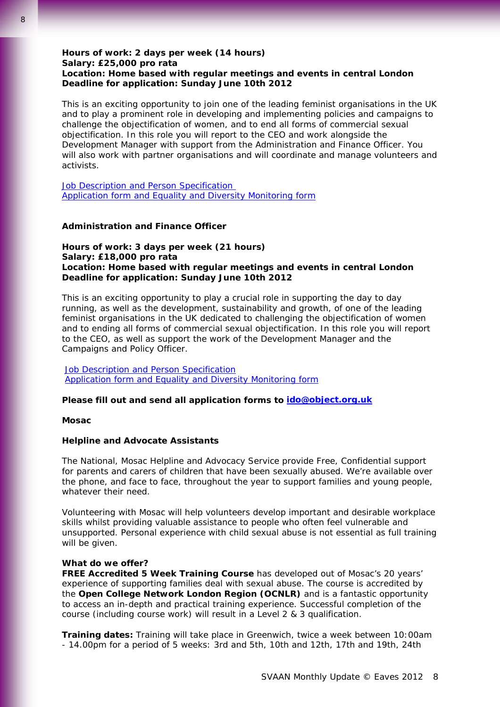## **Hours of work: 2 days per week (14 hours) Salary: £25,000 pro rata Location: Home based with regular meetings and events in central London Deadline for application: Sunday June 10th 2012**

This is an exciting opportunity to join one of the leading feminist organisations in the UK and to play a prominent role in developing and implementing policies and campaigns to challenge the objectification of women, and to end all forms of commercial sexual objectification. In this role you will report to the CEO and work alongside the Development Manager with support from the Administration and Finance Officer. You will also work with partner organisations and will coordinate and manage volunteers and activists.

[Job Description and Person Specification](http://www.object.org.uk/files/Campaigns and Policy Officer JD and PS (1).pdf) [Application form and Equality and Diversity Monitoring form](http://www.object.org.uk/files/OBJECT Application Form and Equality and Diversity Form for Campaigns and Policy Officer(1).doc)

## **Administration and Finance Officer**

**Hours of work: 3 days per week (21 hours) Salary: £18,000 pro rata Location: Home based with regular meetings and events in central London Deadline for application: Sunday June 10th 2012** 

This is an exciting opportunity to play a crucial role in supporting the day to day running, as well as the development, sustainability and growth, of one of the leading feminist organisations in the UK dedicated to challenging the objectification of women and to ending all forms of commercial sexual objectification. In this role you will report to the CEO, as well as support the work of the Development Manager and the Campaigns and Policy Officer.

[Job Description](http://www.object.org.uk/files/Admin and Finance Officer JD and PS.pdf) and Person Specification [Application form and Equality and Diversity Monitoring form](http://www.object.org.uk/files/OBJECT Application Form and Equality and Diversity Form for Admin and Finance Officer(1).doc)

## **Please fill out and send all application forms to [ido@object.org.uk](http://www.object.org.uk/ido@object.org.uk)**

**Mosac** 

## **Helpline and Advocate Assistants**

The National, Mosac Helpline and Advocacy Service provide Free, Confidential support for parents and carers of children that have been sexually abused. We're available over the phone, and face to face, throughout the year to support families and young people, whatever their need.

Volunteering with Mosac will help volunteers develop important and desirable workplace skills whilst providing valuable assistance to people who often feel vulnerable and unsupported. Personal experience with child sexual abuse is not essential as full training will be given.

#### **What do we offer?**

**FREE Accredited 5 Week Training Course** has developed out of Mosac's 20 years' experience of supporting families deal with sexual abuse. The course is accredited by the **Open College Network London Region (OCNLR)** and is a fantastic opportunity to access an in-depth and practical training experience. Successful completion of the course (including course work) will result in a Level 2 & 3 qualification.

**Training dates:** Training will take place in Greenwich, twice a week between 10:00am - 14.00pm for a period of 5 weeks: 3rd and 5th, 10th and 12th, 17th and 19th, 24th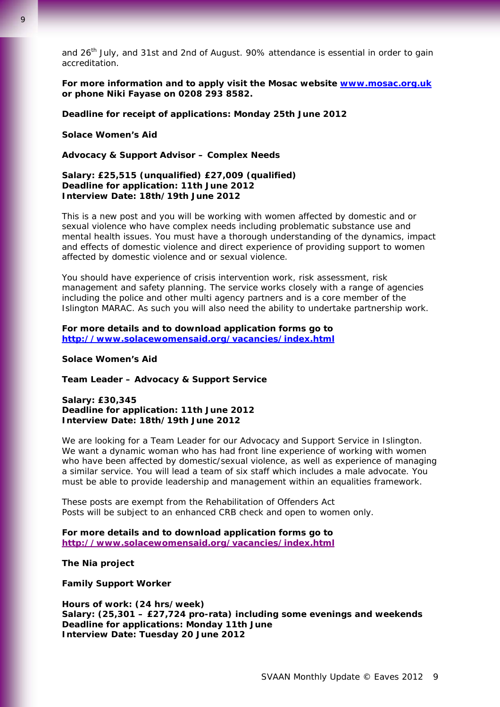and  $26<sup>th</sup>$  July, and 31st and 2nd of August. 90% attendance is essential in order to gain accreditation.

**For more information and to apply visit the Mosac website [www.mosac.org.uk](http://www.mosac.org.uk/) or phone Niki Fayase on 0208 293 8582.** 

**Deadline for receipt of applications: Monday 25th June 2012** 

## **Solace Women's Aid**

**Advocacy & Support Advisor – Complex Needs** 

## **Salary: £25,515 (unqualified) £27,009 (qualified) Deadline for application: 11th June 2012 Interview Date: 18th/19th June 2012**

This is a new post and you will be working with women affected by domestic and or sexual violence who have complex needs including problematic substance use and mental health issues. You must have a thorough understanding of the dynamics, impact and effects of domestic violence and direct experience of providing support to women affected by domestic violence and or sexual violence.

You should have experience of crisis intervention work, risk assessment, risk management and safety planning. The service works closely with a range of agencies including the police and other multi agency partners and is a core member of the Islington MARAC. As such you will also need the ability to undertake partnership work.

## **For more details and to download application forms go to <http://www.solacewomensaid.org/vacancies/index.html>**

#### **Solace Women's Aid**

**Team Leader – Advocacy & Support Service** 

## **Salary: £30,345 Deadline for application: 11th June 2012 Interview Date: 18th/19th June 2012**

We are looking for a Team Leader for our Advocacy and Support Service in Islington. We want a dynamic woman who has had front line experience of working with women who have been affected by domestic/sexual violence, as well as experience of managing a similar service. You will lead a team of six staff which includes a male advocate. You must be able to provide leadership and management within an equalities framework.

These posts are exempt from the Rehabilitation of Offenders Act Posts will be subject to an enhanced CRB check and open to women only.

## **For more details and to download application forms go to http://www.solacewomensaid.org/vacancies/index.html**

**The Nia project** 

**Family Support Worker** 

**Hours of work: (24 hrs/week) Salary: (25,301 – £27,724 pro-rata) including some evenings and weekends Deadline for applications: Monday 11th June Interview Date: Tuesday 20 June 2012**